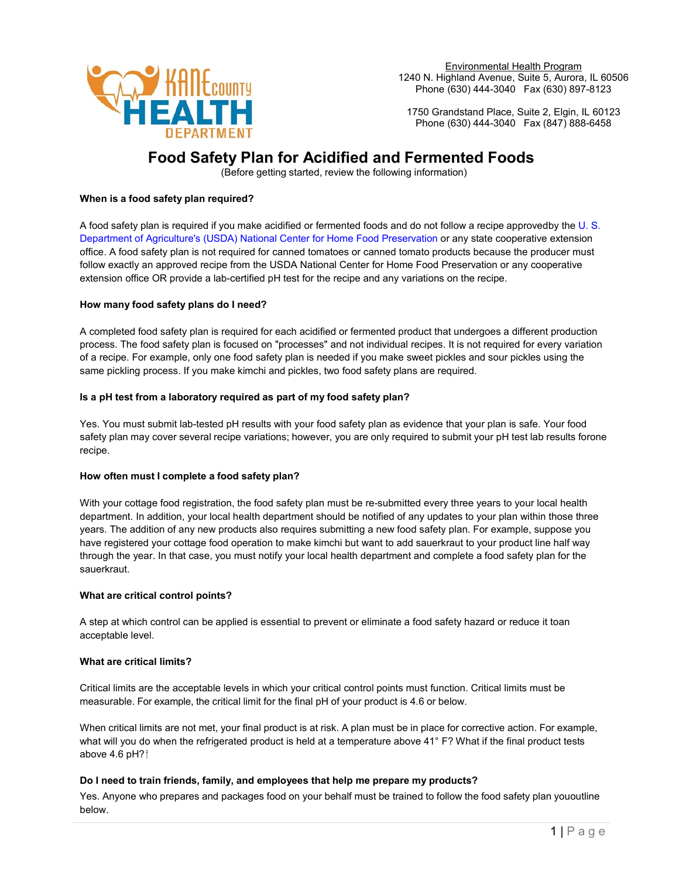

Environmental Health Program 1240 N. Highland Avenue, Suite 5, Aurora, IL 60506 Phone (630) 444-3040 Fax (630) 897-8123

1750 Grandstand Place, Suite 2, Elgin, IL 60123 Phone (630) 444-3040 Fax (847) 888-6458

# **Food Safety Plan for Acidified and Fermented Foods**

(Before getting started, review the following information)

## **When is a food safety plan required?**

A food safety plan is required if you make acidified or fermented foods and do not follow a recipe approvedby th[e U. S.](https://nchfp.uga.edu/)  [Department of Agriculture's \(USDA\) National Center for Home Food Preservation o](https://nchfp.uga.edu/)r any state cooperative extension office. A food safety plan is not required for canned tomatoes or canned tomato products because the producer must follow exactly an approved recipe from the USDA National Center for Home Food Preservation or any cooperative extension office OR provide a lab-certified pH test for the recipe and any variations on the recipe.

## **How many food safety plans do I need?**

A completed food safety plan is required for each acidified or fermented product that undergoes a different production process. The food safety plan is focused on "processes" and not individual recipes. It is not required for every variation of a recipe. For example, only one food safety plan is needed if you make sweet pickles and sour pickles using the same pickling process. If you make kimchi and pickles, two food safety plans are required.

## **Is a pH test from a laboratory required as part of my food safety plan?**

Yes. You must submit lab-tested pH results with your food safety plan as evidence that your plan is safe. Your food safety plan may cover several recipe variations; however, you are only required to submit your pH test lab results forone recipe.

## **How often must I complete a food safety plan?**

With your cottage food registration, the food safety plan must be re-submitted every three years to your local health department. In addition, your local health department should be notified of any updates to your plan within those three years. The addition of any new products also requires submitting a new food safety plan. For example, suppose you have registered your cottage food operation to make kimchi but want to add sauerkraut to your product line half way through the year. In that case, you must notify your local health department and complete a food safety plan for the sauerkraut.

#### **What are critical control points?**

A step at which control can be applied is essential to prevent or eliminate a food safety hazard or reduce it toan acceptable level.

#### **What are critical limits?**

Critical limits are the acceptable levels in which your critical control points must function. Critical limits must be measurable. For example, the critical limit for the final pH of your product is 4.6 or below.

When critical limits are not met, your final product is at risk. A plan must be in place for corrective action. For example, what will you do when the refrigerated product is held at a temperature above 41° F? What if the final product tests above 4.6 pH?

## **Do I need to train friends, family, and employees that help me prepare my products?**

Yes. Anyone who prepares and packages food on your behalf must be trained to follow the food safety plan yououtline below.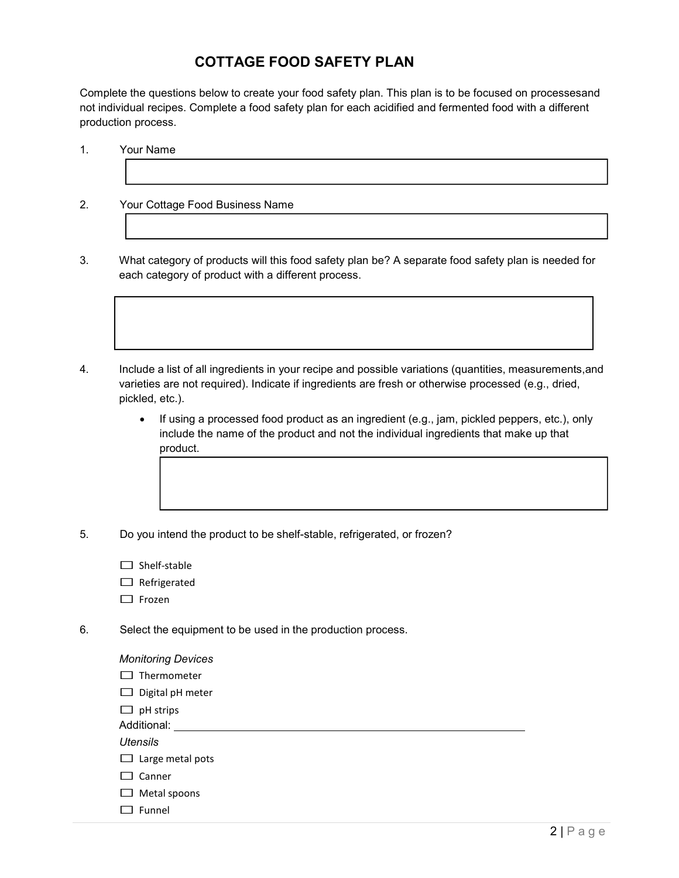# **COTTAGE FOOD SAFETY PLAN**

Complete the questions below to create your food safety plan. This plan is to be focused on processesand not individual recipes. Complete a food safety plan for each acidified and fermented food with a different production process.

1. Your Name

 $\overline{\phantom{a}}$ 

2. Your Cottage Food Business Name

3. What category of products will this food safety plan be? A separate food safety plan is needed for each category of product with a different process.

4. Include a list of all ingredients in your recipe and possible variations (quantities, measurements,and varieties are not required). Indicate if ingredients are fresh or otherwise processed (e.g., dried, pickled, etc.).

- If using a processed food product as an ingredient (e.g., jam, pickled peppers, etc.), only include the name of the product and not the individual ingredients that make up that product.
- 5. Do you intend the product to be shelf-stable, refrigerated, or frozen?
	- $\Box$  Shelf-stable
	- $\Box$  Refrigerated
	- □ Frozen
- 6. Select the equipment to be used in the production process.
	- *Monitoring Devices*
	- □ Thermometer
	- $\Box$  Digital pH meter
	- $\Box$  pH strips
	- Additional:

*Utensils*

- $\Box$  Large metal pots
- □ Canner
- $\Box$  Metal spoons
- □ Funnel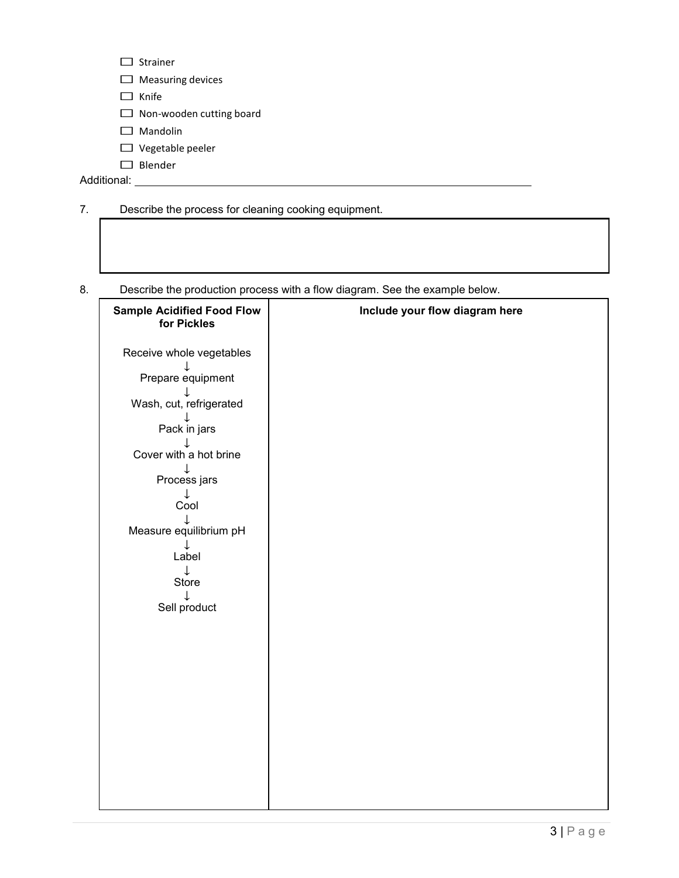| . .         | Strainer                        |
|-------------|---------------------------------|
|             | $\Box$ Measuring devices        |
| l 1         | Knife                           |
|             | $\Box$ Non-wooden cutting board |
| . .         | <b>Mandolin</b>                 |
|             | $\Box$ Vegetable peeler         |
| . .         | Blender                         |
| Additional: |                                 |

|  | Describe the process for cleaning cooking equipment. |  |
|--|------------------------------------------------------|--|
|--|------------------------------------------------------|--|

8. Describe the production process with a flow diagram. See the example below.

| <b>Sample Acidified Food Flow</b><br>for Pickles | Include your flow diagram here |
|--------------------------------------------------|--------------------------------|
| Receive whole vegetables                         |                                |
| Prepare equipment                                |                                |
| Wash, cut, refrigerated                          |                                |
| Pack in jars                                     |                                |
| Cover with a hot brine                           |                                |
| Process jars<br>$\downarrow$                     |                                |
| Cool                                             |                                |
| Measure equilibrium pH<br>↓                      |                                |
| Label<br>$\downarrow$                            |                                |
| Store<br>$\downarrow$                            |                                |
| Sell product                                     |                                |
|                                                  |                                |
|                                                  |                                |
|                                                  |                                |
|                                                  |                                |
|                                                  |                                |
|                                                  |                                |
|                                                  |                                |
|                                                  |                                |